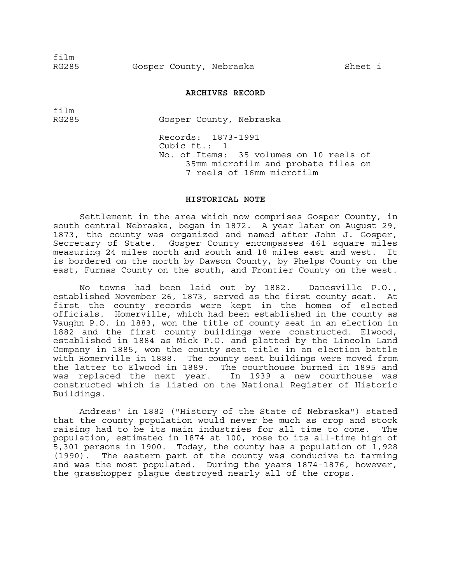#### **ARCHIVES RECORD**

film

RG285 Gosper County, Nebraska

Records: 1873-1991 Cubic ft.: 1 No. of Items: 35 volumes on 10 reels of 35mm microfilm and probate files on 7 reels of 16mm microfilm

#### **HISTORICAL NOTE**

Settlement in the area which now comprises Gosper County, in south central Nebraska, began in 1872. A year later on August 29, 1873, the county was organized and named after John J. Gosper, Secretary of State. Gosper County encompasses 461 square miles measuring 24 miles north and south and 18 miles east and west. It is bordered on the north by Dawson County, by Phelps County on the east, Furnas County on the south, and Frontier County on the west.

No towns had been laid out by 1882. Danesville P.O., established November 26, 1873, served as the first county seat. At first the county records were kept in the homes of elected officials. Homerville, which had been established in the county as Vaughn P.O. in 1883, won the title of county seat in an election in 1882 and the first county buildings were constructed. Elwood, established in 1884 as Mick P.O. and platted by the Lincoln Land Company in 1885, won the county seat title in an election battle with Homerville in 1888. The county seat buildings were moved from the latter to Elwood in 1889. The courthouse burned in 1895 and was replaced the next year. In 1939 a new courthouse was constructed which is listed on the National Register of Historic Buildings.

Andreas' in 1882 ("History of the State of Nebraska") stated that the county population would never be much as crop and stock raising had to be its main industries for all time to come. The population, estimated in 1874 at 100, rose to its all-time high of 5,301 persons in 1900. Today, the county has a population of 1,928 (1990). The eastern part of the county was conducive to farming and was the most populated. During the years 1874-1876, however, the grasshopper plague destroyed nearly all of the crops.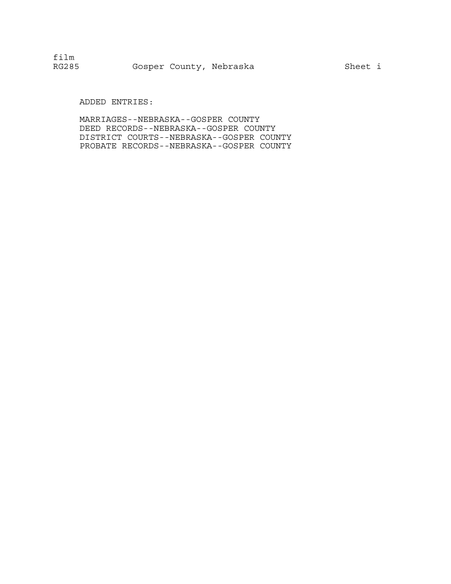ADDED ENTRIES:

MARRIAGES--NEBRASKA--GOSPER COUNTY DEED RECORDS--NEBRASKA--GOSPER COUNTY DISTRICT COURTS--NEBRASKA--GOSPER COUNTY PROBATE RECORDS--NEBRASKA--GOSPER COUNTY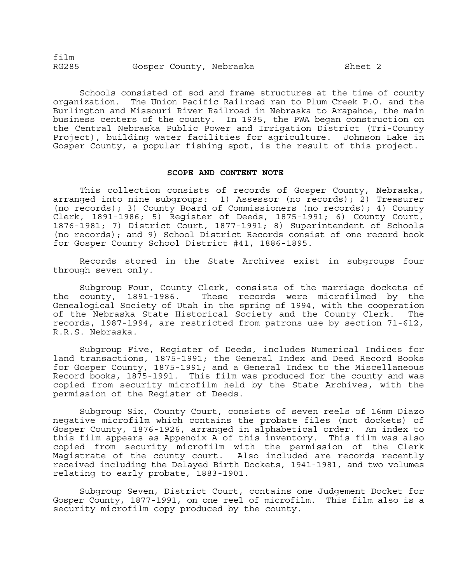Schools consisted of sod and frame structures at the time of county organization. The Union Pacific Railroad ran to Plum Creek P.O. and the Burlington and Missouri River Railroad in Nebraska to Arapahoe, the main business centers of the county. In 1935, the PWA began construction on the Central Nebraska Public Power and Irrigation District (Tri-County Project), building water facilities for agriculture. Johnson Lake in Gosper County, a popular fishing spot, is the result of this project.

#### **SCOPE AND CONTENT NOTE**

This collection consists of records of Gosper County, Nebraska, arranged into nine subgroups: 1) Assessor (no records); 2) Treasurer (no records); 3) County Board of Commissioners (no records); 4) County Clerk, 1891-1986; 5) Register of Deeds, 1875-1991; 6) County Court, 1876-1981; 7) District Court, 1877-1991; 8) Superintendent of Schools (no records); and 9) School District Records consist of one record book for Gosper County School District #41, 1886-1895.

Records stored in the State Archives exist in subgroups four through seven only.

Subgroup Four, County Clerk, consists of the marriage dockets of the county, 1891-1986. These records were microfilmed by the Genealogical Society of Utah in the spring of 1994, with the cooperation of the Nebraska State Historical Society and the County Clerk. The records, 1987-1994, are restricted from patrons use by section 71-612, R.R.S. Nebraska.

Subgroup Five, Register of Deeds, includes Numerical Indices for land transactions, 1875-1991; the General Index and Deed Record Books for Gosper County, 1875-1991; and a General Index to the Miscellaneous Record books, 1875-1991. This film was produced for the county and was copied from security microfilm held by the State Archives, with the permission of the Register of Deeds.

Subgroup Six, County Court, consists of seven reels of 16mm Diazo negative microfilm which contains the probate files (not dockets) of Gosper County, 1876-1926, arranged in alphabetical order. An index to this film appears as Appendix A of this inventory. This film was also copied from security microfilm with the permission of the Clerk Magistrate of the county court. Also included are records recently received including the Delayed Birth Dockets, 1941-1981, and two volumes relating to early probate, 1883-1901.

Subgroup Seven, District Court, contains one Judgement Docket for Gosper County, 1877-1991, on one reel of microfilm. This film also is a security microfilm copy produced by the county.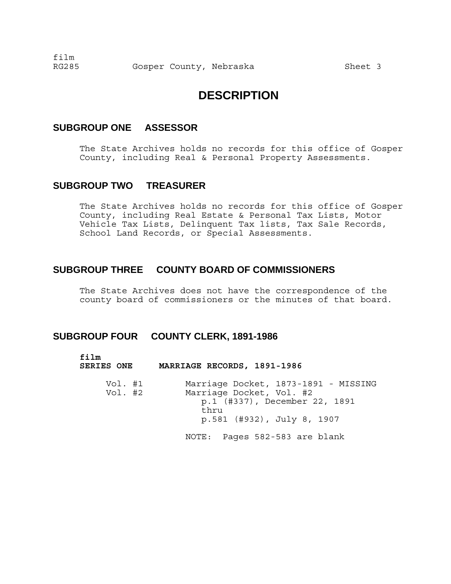# **DESCRIPTION**

# **SUBGROUP ONE ASSESSOR**

The State Archives holds no records for this office of Gosper County, including Real & Personal Property Assessments.

# **SUBGROUP TWO TREASURER**

The State Archives holds no records for this office of Gosper County, including Real Estate & Personal Tax Lists, Motor Vehicle Tax Lists, Delinquent Tax lists, Tax Sale Records, School Land Records, or Special Assessments.

# **SUBGROUP THREE COUNTY BOARD OF COMMISSIONERS**

The State Archives does not have the correspondence of the county board of commissioners or the minutes of that board.

# **SUBGROUP FOUR COUNTY CLERK, 1891-1986**

| film<br><b>SERIES ONE</b> | MARRIAGE RECORDS, 1891-1986                                                                                                             |
|---------------------------|-----------------------------------------------------------------------------------------------------------------------------------------|
| Vol. #1<br>Vol. #2        | Marriage Docket, 1873-1891 - MISSING<br>Marriage Docket, Vol. #2<br>p.1 (#337), December 22, 1891<br>thru<br>p.581 (#932), July 8, 1907 |
|                           | Pages 582-583 are blank<br>NOTE:                                                                                                        |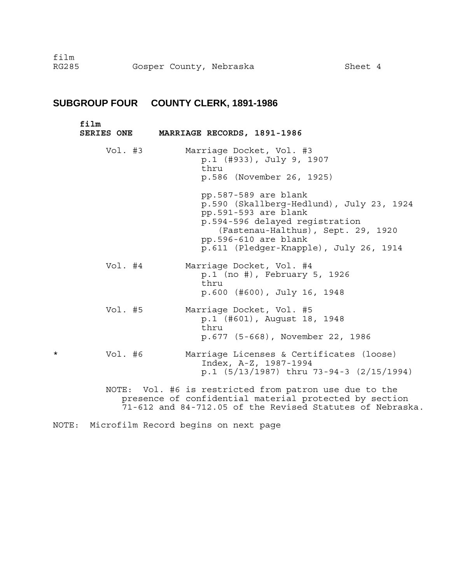### **SUBGROUP FOUR COUNTY CLERK, 1891-1986**

#### **film**

**SERIES ONE MARRIAGE RECORDS, 1891-1986**  Vol. #3 Marriage Docket, Vol. #3 p.1 (#933), July 9, 1907 thru p.586 (November 26, 1925) pp.587-589 are blank p.590 (Skallberg-Hedlund), July 23, 1924 pp.591-593 are blank p.594-596 delayed registration (Fastenau-Halthus), Sept. 29, 1920 pp.596-610 are blank p.611 (Pledger-Knapple), July 26, 1914 Vol. #4 Marriage Docket, Vol. #4 p.1 (no #), February 5, 1926 thru p.600 (#600), July 16, 1948 Vol. #5 Marriage Docket, Vol. #5 p.1 (#601), August 18, 1948 thru p.677 (5-668), November 22, 1986 \* Vol. #6 Marriage Licenses & Certificates (loose) Index, A-Z, 1987-1994 p.1 (5/13/1987) thru 73-94-3 (2/15/1994)

> NOTE: Vol. #6 is restricted from patron use due to the presence of confidential material protected by section 71-612 and 84-712.05 of the Revised Statutes of Nebraska.

NOTE: Microfilm Record begins on next page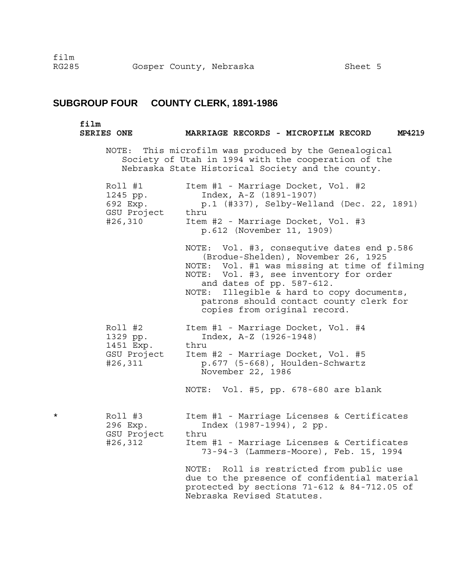# **SUBGROUP FOUR COUNTY CLERK, 1891-1986**

# **film**  MARRIAGE RECORDS - MICROFILM RECORD MP4219

NOTE: This microfilm was produced by the Genealogical Society of Utah in 1994 with the cooperation of the Nebraska State Historical Society and the county.

|   | Roll #1<br>1245 pp.<br>692 Exp.<br>GSU Project<br>#26,310  | Item #1 - Marriage Docket, Vol. #2<br>Index, A-Z (1891-1907)<br>p.1 (#337), Selby-Welland (Dec. 22, 1891)<br>thru<br>Item #2 - Marriage Docket, Vol. #3<br>p.612 (November 11, 1909)                                                                                                                                                |
|---|------------------------------------------------------------|-------------------------------------------------------------------------------------------------------------------------------------------------------------------------------------------------------------------------------------------------------------------------------------------------------------------------------------|
|   |                                                            | NOTE: Vol. #3, consequtive dates end p.586<br>(Brodue-Shelden), November 26, 1925<br>NOTE: Vol. #1 was missing at time of filming<br>NOTE: Vol. #3, see inventory for order<br>and dates of pp. 587-612.<br>Illegible & hard to copy documents,<br>NOTE:<br>patrons should contact county clerk for<br>copies from original record. |
|   | Roll #2<br>1329 pp.<br>1451 Exp.<br>GSU Project<br>#26,311 | Item #1 - Marriage Docket, Vol. #4<br>Index, A-Z (1926-1948)<br>thru<br>Item #2 - Marriage Docket, Vol. #5<br>p.677 (5-668), Houlden-Schwartz<br>November 22, 1986                                                                                                                                                                  |
|   |                                                            | NOTE: Vol. #5, pp. 678-680 are blank                                                                                                                                                                                                                                                                                                |
| ¥ | Roll #3<br>296 Exp.<br>GSU Project<br>#26,312              | Item #1 - Marriage Licenses & Certificates<br>Index (1987-1994), 2 pp.<br>thru<br>Item #1 - Marriage Licenses & Certificates<br>73-94-3 (Lammers-Moore), Feb. 15, 1994                                                                                                                                                              |
|   |                                                            | NOTE: Roll is restricted from public use<br>due to the presence of confidential material<br>protected by sections $71-612$ & 84-712.05 of<br>Nebraska Revised Statutes.                                                                                                                                                             |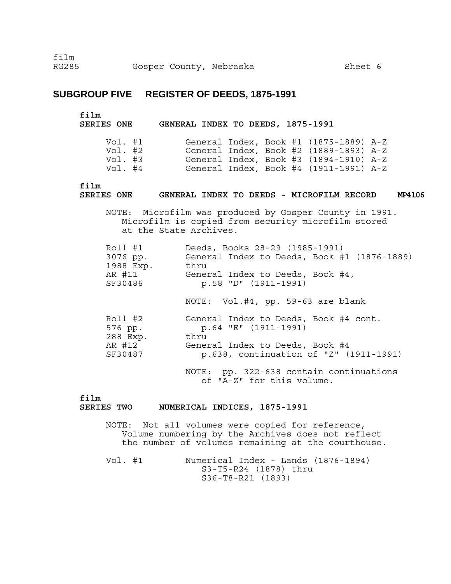# **SUBGROUP FIVE REGISTER OF DEEDS, 1875-1991**

**film** 

**SERIES ONE GENERAL INDEX TO DEEDS, 1875-1991** 

| Vol. #1 |  |  | General Index, Book #1 (1875-1889) A-Z |  |
|---------|--|--|----------------------------------------|--|
| Vol. #2 |  |  | General Index, Book #2 (1889-1893) A-Z |  |
| Vol. #3 |  |  | General Index, Book #3 (1894-1910) A-Z |  |
| Vol. #4 |  |  | General Index, Book #4 (1911-1991) A-Z |  |

#### **film**

#### **SERIES ONE GENERAL INDEX TO DEEDS - MICROFILM RECORD MP4106**

NOTE: Microfilm was produced by Gosper County in 1991. Microfilm is copied from security microfilm stored at the State Archives.

| Roll #1   | Deeds, Books 28-29 (1985-1991)              |
|-----------|---------------------------------------------|
| 3076 pp.  | General Index to Deeds, Book #1 (1876-1889) |
| 1988 Exp. | thru                                        |
| AR #11    | General Index to Deeds, Book #4,            |
| SF30486   | $p.58$ "D" (1911-1991)                      |
|           | NOTE: Vol.#4, pp. 59-63 are blank           |
| Roll #2   | General Index to Deeds, Book #4 cont.       |
| 576 pp.   | $p.64$ "E" $(1911-1991)$                    |
| 288 Exp.  | thru                                        |
| AR #12    | General Index to Deeds, Book #4             |
| SF30487   | p.638, continuation of "Z" (1911-1991)      |
|           | NOTE: pp. 322-638 contain continuations     |

of "A-Z" for this volume.

# **film**

#### **SERIES TWO NUMERICAL INDICES, 1875-1991**

NOTE: Not all volumes were copied for reference, Volume numbering by the Archives does not reflect the number of volumes remaining at the courthouse.

Vol. #1 Numerical Index - Lands (1876-1894) S3-T5-R24 (1878) thru S36-T8-R21 (1893)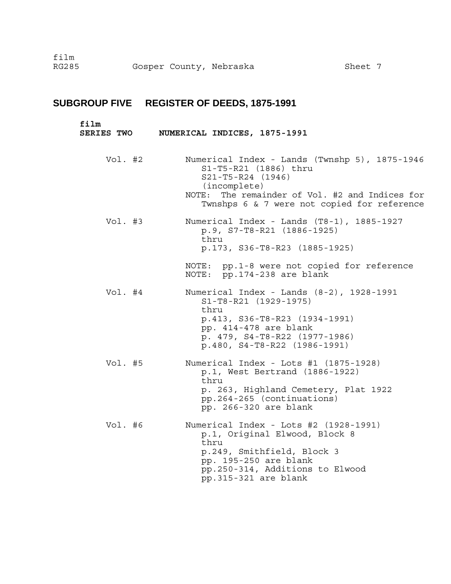### **SUBGROUP FIVE REGISTER OF DEEDS, 1875-1991**

# **film SERIES TWO NUMERICAL INDICES, 1875-1991**  Vol. #2 Numerical Index - Lands (Twnshp 5), 1875-1946 S1-T5-R21 (1886) thru S21-T5-R24 (1946) (incomplete) NOTE: The remainder of Vol. #2 and Indices for Twnshps 6 & 7 were not copied for reference Vol. #3 Numerical Index - Lands (T8-1), 1885-1927 p.9, S7-T8-R21 (1886-1925) thru p.173, S36-T8-R23 (1885-1925) NOTE: pp.1-8 were not copied for reference NOTE: pp.174-238 are blank Vol. #4 Numerical Index - Lands (8-2), 1928-1991 S1-T8-R21 (1929-1975) thru p.413, S36-T8-R23 (1934-1991) pp. 414-478 are blank p. 479, S4-T8-R22 (1977-1986) p.480, S4-T8-R22 (1986-1991) Vol. #5 Numerical Index - Lots #1 (1875-1928) p.1, West Bertrand (1886-1922) thru p. 263, Highland Cemetery, Plat 1922 pp.264-265 (continuations) pp. 266-320 are blank Vol. #6 Numerical Index - Lots #2 (1928-1991) p.1, Original Elwood, Block 8 thru p.249, Smithfield, Block 3 pp. 195-250 are blank pp.250-314, Additions to Elwood pp.315-321 are blank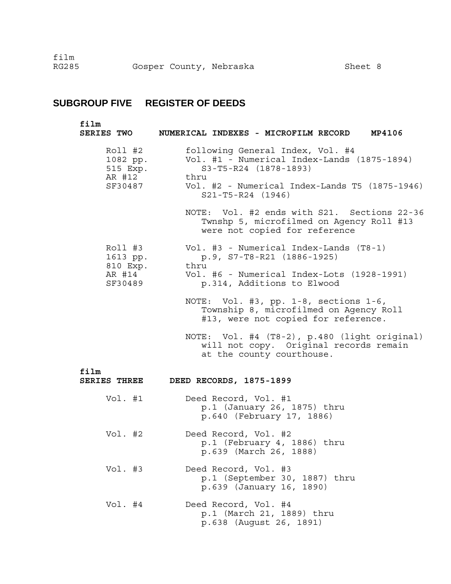# **SUBGROUP FIVE REGISTER OF DEEDS**

| film<br><b>SERIES TWO</b>                            | NUMERICAL INDEXES - MICROFILM RECORD<br>MP4106                                                                                                                                                |
|------------------------------------------------------|-----------------------------------------------------------------------------------------------------------------------------------------------------------------------------------------------|
| Roll #2<br>1082 pp.<br>515 Exp.<br>AR #12<br>SF30487 | following General Index, Vol. #4<br>Vol. #1 - Numerical Index-Lands (1875-1894)<br>S3-T5-R24 (1878-1893)<br>thru<br>Vol. #2 - Numerical Index-Lands T5 (1875-1946)<br>$S21 - T5 - R24$ (1946) |
|                                                      | NOTE: Vol. #2 ends with S21. Sections 22-36<br>Twnshp 5, microfilmed on Agency Roll #13<br>were not copied for reference                                                                      |
| Roll #3<br>1613 pp.<br>810 Exp.                      | Vol. #3 - Numerical Index-Lands (T8-1)<br>p.9, S7-T8-R21 (1886-1925)<br>thru                                                                                                                  |
| AR #14<br>SF30489                                    | Vol. #6 - Numerical Index-Lots (1928-1991)<br>p.314, Additions to Elwood                                                                                                                      |
|                                                      | NOTE: Vol. #3, pp. $1-8$ , sections $1-6$ ,<br>Township 8, microfilmed on Agency Roll<br>#13, were not copied for reference.                                                                  |
|                                                      | NOTE: Vol. #4 (T8-2), p.480 (light original)<br>will not copy. Original records remain<br>at the county courthouse.                                                                           |
| film<br><b>SERIES THREE</b>                          | DEED RECORDS, 1875-1899                                                                                                                                                                       |
| Vol. #1                                              | Deed Record, Vol. #1<br>p.1 (January 26, 1875) thru<br>p.640 (February 17, 1886)                                                                                                              |
| Vol. #2                                              | Deed Record, Vol. #2<br>p.1 (February 4, 1886) thru<br>p.639 (March 26, 1888)                                                                                                                 |
| Vol. #3                                              | Deed Record, Vol. #3<br>p.1 (September 30, 1887) thru<br>p.639 (January 16, 1890)                                                                                                             |
| Vol. $#4$                                            | Deed Record, Vol. #4<br>p.1 (March 21, 1889) thru                                                                                                                                             |

p.638 (August 26, 1891)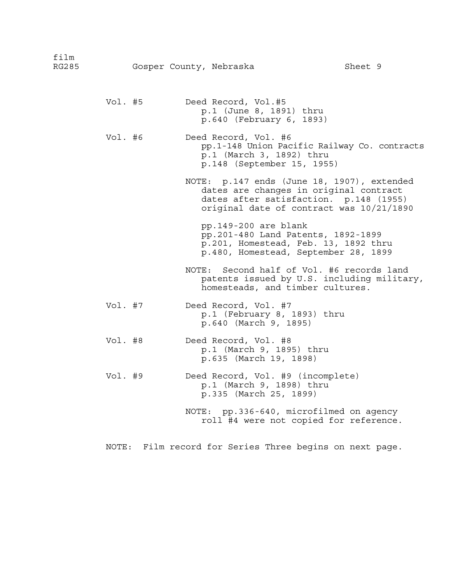| film<br>RG285 |         |         |       | Gosper County, Nebraska                                                                                                                                                    | Sheet 9 |
|---------------|---------|---------|-------|----------------------------------------------------------------------------------------------------------------------------------------------------------------------------|---------|
|               |         | Vol. #5 |       | Deed Record, Vol.#5<br>p.1 (June 8, 1891) thru<br>p.640 (February 6, 1893)                                                                                                 |         |
|               | Vol. #6 |         |       | Deed Record, Vol. #6<br>pp.1-148 Union Pacific Railway Co. contracts<br>p.1 (March 3, 1892) thru<br>p.148 (September 15, 1955)                                             |         |
|               |         |         |       | NOTE: p.147 ends (June 18, 1907), extended<br>dates are changes in original contract<br>dates after satisfaction. p.148 (1955)<br>original date of contract was 10/21/1890 |         |
|               |         |         |       | pp.149-200 are blank<br>pp.201-480 Land Patents, 1892-1899<br>p.201, Homestead, Feb. 13, 1892 thru<br>p.480, Homestead, September 28, 1899                                 |         |
|               |         |         | NOTE: | Second half of Vol. #6 records land<br>patents issued by U.S. including military,<br>homesteads, and timber cultures.                                                      |         |
|               | Vol. #7 |         |       | Deed Record, Vol. #7<br>p.1 (February 8, 1893) thru<br>p.640 (March 9, 1895)                                                                                               |         |
|               | Vol. #8 |         |       | Deed Record, Vol. #8<br>p.1 (March 9, 1895) thru<br>p.635 (March 19, 1898)                                                                                                 |         |
|               | Vol. #9 |         |       | Deed Record, Vol. #9 (incomplete)<br>p.1 (March 9, 1898) thru<br>p.335 (March 25, 1899)                                                                                    |         |
|               |         |         |       | NOTE: pp.336-640, microfilmed on agency<br>roll #4 were not copied for reference.                                                                                          |         |
|               | NOTE:   |         |       | Film record for Series Three begins on next page.                                                                                                                          |         |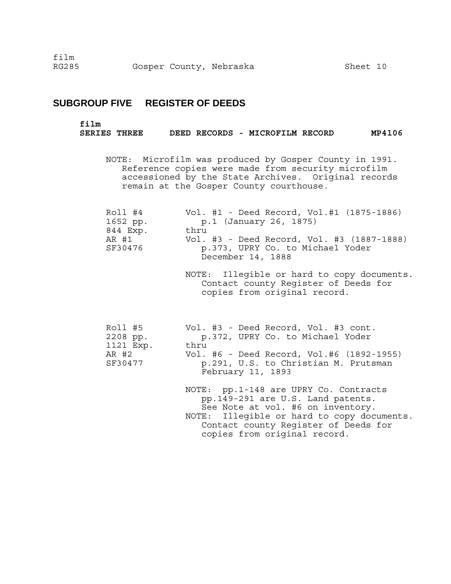# **SUBGROUP FIVE REGISTER OF DEEDS**

### **film**

**SERIES THREE DEED RECORDS - MICROFILM RECORD MP4106** 

NOTE: Microfilm was produced by Gosper County in 1991. Reference copies were made from security microfilm accessioned by the State Archives. Original records remain at the Gosper County courthouse.

| Roll #4          | Vol. #1 - Deed Record, Vol.#1 (1875-1886)                                                                          |
|------------------|--------------------------------------------------------------------------------------------------------------------|
| 1652 pp.         | p.1 (January 26, 1875)                                                                                             |
| 844 Exp.         | thru                                                                                                               |
| AR #1<br>SF30476 | Vol. #3 - Deed Record, Vol. #3 (1887-1888)<br>p.373, UPRY Co. to Michael Yoder<br>December 14, 1888                |
|                  | NOTE: Illegible or hard to copy documents.<br>Contact county Register of Deeds for<br>copies from original record. |
| Roll #5          | Vol. #3 - Deed Record, Vol. #3 cont.                                                                               |
| $2200 - 22$      | n 272 IIDDV Co to Mighool Vodom                                                                                    |

| 2208 pp.  |                   |  | p.372, UPRY Co. to Michael Yoder |                                           |
|-----------|-------------------|--|----------------------------------|-------------------------------------------|
| 1121 Exp. | thru              |  |                                  |                                           |
| AR #2     |                   |  |                                  | Vol. #6 - Deed Record, Vol.#6 (1892-1955) |
| SF30477   |                   |  |                                  | p.291, U.S. to Christian M. Prutsman      |
|           | February 11, 1893 |  |                                  |                                           |

NOTE: pp.1-148 are UPRY Co. Contracts pp.149-291 are U.S. Land patents. See Note at vol. #6 on inventory. NOTE: Illegible or hard to copy documents. Contact county Register of Deeds for copies from original record.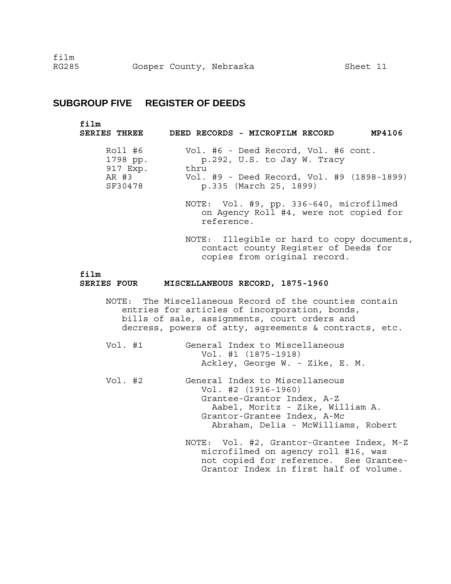# **SUBGROUP FIVE REGISTER OF DEEDS**

#### **film**

| <b>SERIES THREE</b>             | MP4106<br>DEED RECORDS - MICROFILM RECORD                                   |  |
|---------------------------------|-----------------------------------------------------------------------------|--|
| Roll #6<br>1798 pp.<br>917 Exp. | Vol. #6 - Deed Record, Vol. #6 cont.<br>p.292, U.S. to Jay W. Tracy<br>thru |  |
| AR #3<br>SF30478                | Vol. #9 - Deed Record, Vol. #9 (1898-1899)<br>p.335 (March 25, 1899)        |  |
|                                 | NOTE: Vol. #9, pp. 336-640, microfilmed                                     |  |

- on Agency Roll #4, were not copied for reference.
- NOTE: Illegible or hard to copy documents, contact county Register of Deeds for copies from original record.

# **film**

### **SERIES FOUR MISCELLANEOUS RECORD, 1875-1960**

NOTE: The Miscellaneous Record of the counties contain entries for articles of incorporation, bonds, bills of sale, assignments, court orders and decress, powers of atty, agreements & contracts, etc.

| Vol. #1 | General Index to Miscellaneous |  |  |                                 |  |  |
|---------|--------------------------------|--|--|---------------------------------|--|--|
|         | Vol. #1 (1875-1918)            |  |  |                                 |  |  |
|         |                                |  |  | Ackley, George W. - Zike, E. M. |  |  |

Vol. #2 General Index to Miscellaneous Vol. #2 (1916-1960) Grantee-Grantor Index, A-Z Aabel, Moritz - Zike, William A. Grantor-Grantee Index, A-Mc Abraham, Delia - McWilliams, Robert

> NOTE: Vol. #2, Grantor-Grantee Index, M-Z microfilmed on agency roll #16, was not copied for reference. See Grantee-Grantor Index in first half of volume.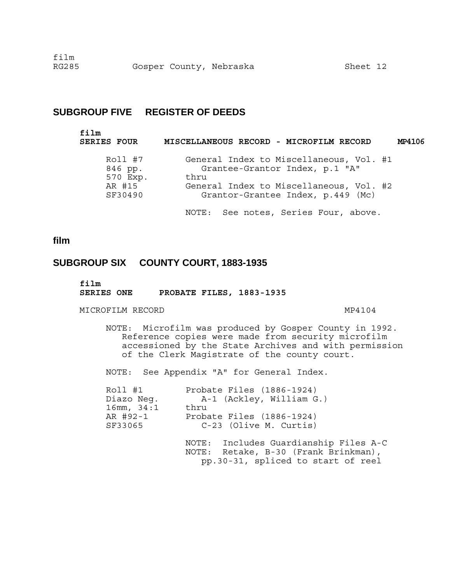# **SUBGROUP FIVE REGISTER OF DEEDS**

| film               | MISCELLANEOUS RECORD - MICROFILM RECORD |
|--------------------|-----------------------------------------|
| <b>SERIES FOUR</b> | MP4106                                  |
| Roll #7            | General Index to Miscellaneous, Vol. #1 |
| 846 pp.            | Grantee-Grantor Index, p.1 "A"          |
| 570 Exp.           | thru                                    |
| AR #15             | General Index to Miscellaneous, Vol. #2 |
| SF30490            | Grantor-Grantee Index, p.449 (Mc)       |
|                    | NOTE: See notes, Series Four, above.    |

**film** 

# **SUBGROUP SIX COUNTY COURT, 1883-1935**

**film** 

**SERIES ONE PROBATE FILES, 1883-1935** 

MICROFILM RECORD MP4104

NOTE: Microfilm was produced by Gosper County in 1992. Reference copies were made from security microfilm accessioned by the State Archives and with permission of the Clerk Magistrate of the county court.

NOTE: See Appendix "A" for General Index.

| Roll #1         | Probate Files (1886-1924) |
|-----------------|---------------------------|
| Diazo Neq.      | A-1 (Ackley, William G.)  |
| $16$ mm, $34:1$ | thru                      |
| AR #92-1        | Probate Files (1886-1924) |
| SF33065         | C-23 (Olive M. Curtis)    |
|                 |                           |

NOTE: Includes Guardianship Files A-C NOTE: Retake, B-30 (Frank Brinkman), pp.30-31, spliced to start of reel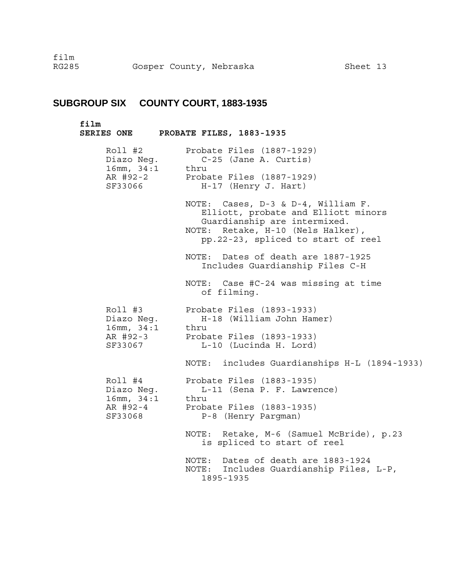# **SUBGROUP SIX COUNTY COURT, 1883-1935**

**film** 

**SERIES ONE PROBATE FILES, 1883-1935** 

| Roll #2<br>Diazo Neg.<br>16mm, 34:1 thru<br>AR #92-2<br>SF33066 | Probate Files (1887-1929)<br>$C-25$ (Jane A. Curtis)<br>Probate Files (1887-1929)<br>$H-17$ (Henry J. Hart)                                                                          |
|-----------------------------------------------------------------|--------------------------------------------------------------------------------------------------------------------------------------------------------------------------------------|
|                                                                 | NOTE: Cases, D-3 & D-4, William F.<br>Elliott, probate and Elliott minors<br>Guardianship are intermixed.<br>NOTE: Retake, H-10 (Nels Halker),<br>pp.22-23, spliced to start of reel |
|                                                                 | NOTE: Dates of death are 1887-1925<br>Includes Guardianship Files C-H                                                                                                                |
|                                                                 | NOTE: Case #C-24 was missing at time<br>of filming.                                                                                                                                  |
| Roll #3<br>Diazo Neg.<br>16mm, 34:1 thru                        | Probate Files (1893-1933)<br>H-18 (William John Hamer)                                                                                                                               |
| AR #92-3<br>SF33067                                             | Probate Files (1893-1933)<br>L-10 (Lucinda H. Lord)                                                                                                                                  |
|                                                                 | NOTE: includes Guardianships H-L (1894-1933)                                                                                                                                         |
| Roll #4<br>Diazo Neg.<br>16mm, 34:1 thru                        | Probate Files (1883-1935)<br>L-11 (Sena P. F. Lawrence)                                                                                                                              |
| SF33068                                                         | AR #92-4 Probate Files (1883-1935)<br>P-8 (Henry Parqman)                                                                                                                            |
|                                                                 | NOTE: Retake, M-6 (Samuel McBride), p.23<br>is spliced to start of reel                                                                                                              |
|                                                                 | NOTE: Dates of death are 1883-1924<br>NOTE: Includes Guardianship Files, L-P,<br>1895-1935                                                                                           |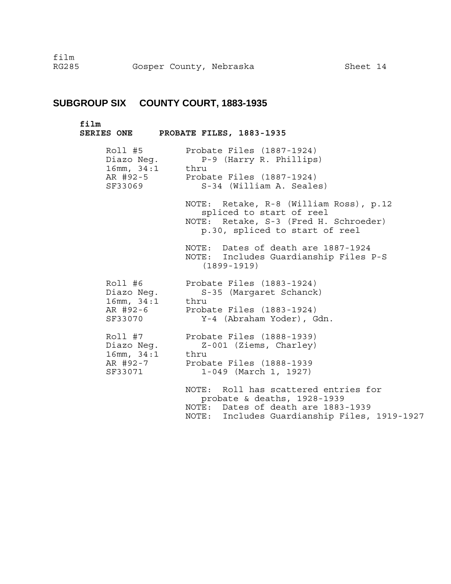# **SUBGROUP SIX COUNTY COURT, 1883-1935**

#### **film**

**SERIES ONE PROBATE FILES, 1883-1935** 

| 16mm, 34:1 thru                          | Roll #5 Probate Files (1887-1924)<br>Diazo Neg. P-9 (Harry R. Phillips)<br>AR #92-5 Probate Files (1887-1924)<br>SF33069 S-34 (William A. Seales)         |
|------------------------------------------|-----------------------------------------------------------------------------------------------------------------------------------------------------------|
|                                          | NOTE: Retake, R-8 (William Ross), p.12<br>spliced to start of reel<br>NOTE: Retake, S-3 (Fred H. Schroeder)<br>p.30, spliced to start of reel             |
|                                          | NOTE: Dates of death are 1887-1924<br>NOTE: Includes Guardianship Files P-S<br>$(1899 - 1919)$                                                            |
| 16mm, 34:1 thru<br>SF33070               | Roll #6 Probate Files (1883-1924)<br>Diazo Neg. S-35 (Margaret Schanck)<br>AR #92-6 Probate Files (1883-1924)<br>Y-4 (Abraham Yoder), Gdn.                |
| Diazo Neq.<br>16mm, 34:1 thru<br>SF33071 | Roll #7 Probate Files (1888-1939)<br>Z-001 (Ziems, Charley)<br>AR #92-7 Probate Files (1888-1939<br>1-049 (March 1, 1927)                                 |
|                                          | NOTE: Roll has scattered entries for<br>probate & deaths, 1928-1939<br>NOTE: Dates of death are 1883-1939<br>NOTE: Includes Guardianship Files, 1919-1927 |

film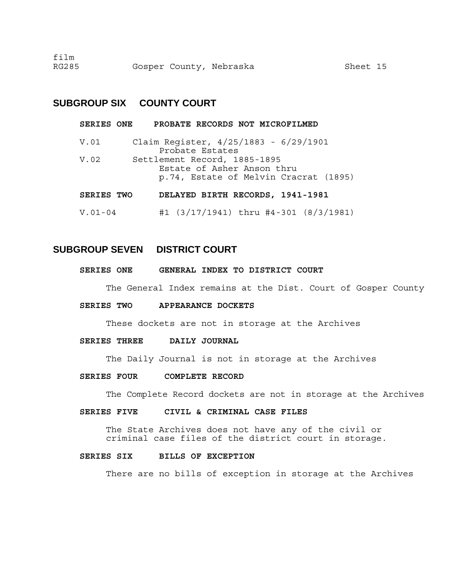## **SUBGROUP SIX COUNTY COURT**

#### **SERIES ONE PROBATE RECORDS NOT MICROFILMED**

- V.01 Claim Register, 4/25/1883 6/29/1901 Probate Estates V.02 Settlement Record, 1885-1895 Estate of Asher Anson thru p.74, Estate of Melvin Cracrat (1895)
- **SERIES TWO DELAYED BIRTH RECORDS, 1941-1981**
- V.01-04 #1 (3/17/1941) thru #4-301 (8/3/1981)

## **SUBGROUP SEVEN DISTRICT COURT**

**SERIES ONE GENERAL INDEX TO DISTRICT COURT** 

The General Index remains at the Dist. Court of Gosper County

#### **SERIES TWO APPEARANCE DOCKETS**

These dockets are not in storage at the Archives

#### **SERIES THREE DAILY JOURNAL**

The Daily Journal is not in storage at the Archives

#### **SERIES FOUR COMPLETE RECORD**

The Complete Record dockets are not in storage at the Archives

#### **SERIES FIVE CIVIL & CRIMINAL CASE FILES**

The State Archives does not have any of the civil or criminal case files of the district court in storage.

#### **SERIES SIX BILLS OF EXCEPTION**

There are no bills of exception in storage at the Archives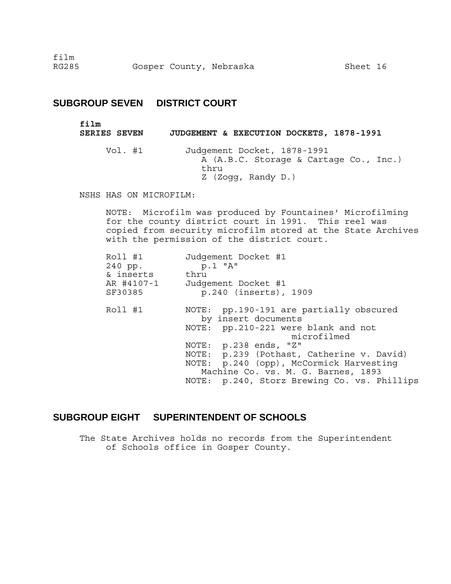### **SUBGROUP SEVEN DISTRICT COURT**

**film SERIES SEVEN JUDGEMENT & EXECUTION DOCKETS, 1878-1991** 

Vol. #1 Judgement Docket, 1878-1991 A (A.B.C. Storage & Cartage Co., Inc.) thru Z (Zogg, Randy D.)

NSHS HAS ON MICROFILM:

NOTE: Microfilm was produced by Fountaines' Microfilming for the county district court in 1991. This reel was copied from security microfilm stored at the State Archives with the permission of the district court.

| Roll #1<br>240 pp. | Judgement Docket #1<br>$p.1$ " $A$ "           |
|--------------------|------------------------------------------------|
| & inserts          | thru                                           |
| AR #4107-1         | Judgement Docket #1                            |
| SF30385            | p.240 (inserts), 1909                          |
| Roll #1            | pp.190-191 are partially obscured<br>NOTE:     |
|                    | by insert documents                            |
|                    | NOTE: pp.210-221 were blank and not            |
|                    | microfilmed                                    |
|                    | NOTE: p.238 ends, "Z"                          |
|                    | NOTE: p.239 (Pothast, Catherine v. David)      |
|                    | NOTE: p.240 (opp), McCormick Harvesting        |
|                    | Machine Co. vs. M. G. Barnes, 1893             |
|                    | p.240, Storz Brewing Co. vs. Phillips<br>NOTE: |

# **SUBGROUP EIGHT SUPERINTENDENT OF SCHOOLS**

The State Archives holds no records from the Superintendent of Schools office in Gosper County.